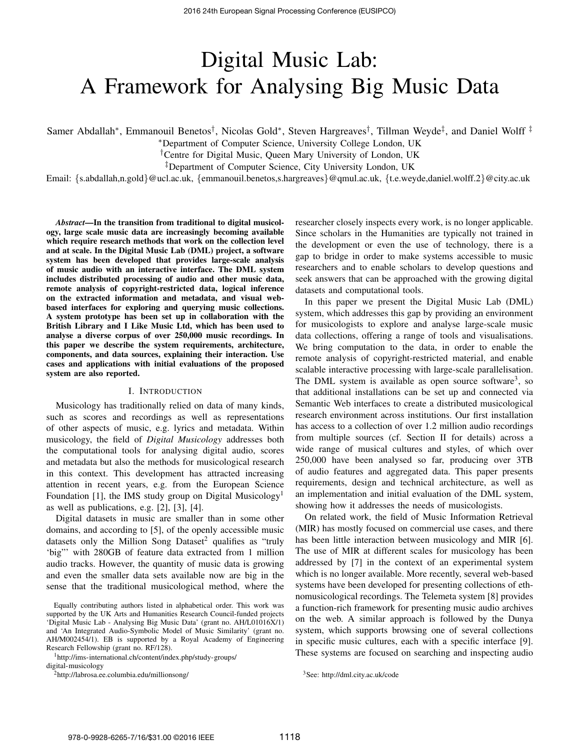# Digital Music Lab: A Framework for Analysing Big Music Data

Samer Abdallah\*, Emmanouil Benetos<sup>†</sup>, Nicolas Gold\*, Steven Hargreaves<sup>†</sup>, Tillman Weyde<sup>‡</sup>, and Daniel Wolff<sup>‡</sup>

<sup>∗</sup>Department of Computer Science, University College London, UK

†Centre for Digital Music, Queen Mary University of London, UK

‡Department of Computer Science, City University London, UK

Email: {s.abdallah,n.gold}@ucl.ac.uk, {emmanouil.benetos,s.hargreaves}@qmul.ac.uk, {t.e.weyde,daniel.wolff.2}@city.ac.uk

*Abstract*—In the transition from traditional to digital musicology, large scale music data are increasingly becoming available which require research methods that work on the collection level and at scale. In the Digital Music Lab (DML) project, a software system has been developed that provides large-scale analysis of music audio with an interactive interface. The DML system includes distributed processing of audio and other music data, remote analysis of copyright-restricted data, logical inference on the extracted information and metadata, and visual webbased interfaces for exploring and querying music collections. A system prototype has been set up in collaboration with the British Library and I Like Music Ltd, which has been used to analyse a diverse corpus of over 250,000 music recordings. In this paper we describe the system requirements, architecture, components, and data sources, explaining their interaction. Use cases and applications with initial evaluations of the proposed system are also reported.

#### I. INTRODUCTION

Musicology has traditionally relied on data of many kinds, such as scores and recordings as well as representations of other aspects of music, e.g. lyrics and metadata. Within musicology, the field of *Digital Musicology* addresses both the computational tools for analysing digital audio, scores and metadata but also the methods for musicological research in this context. This development has attracted increasing attention in recent years, e.g. from the European Science Foundation [1], the IMS study group on Digital Musicology<sup>1</sup> as well as publications, e.g. [2], [3], [4].

Digital datasets in music are smaller than in some other domains, and according to [5], of the openly accessible music datasets only the Million Song Dataset<sup>2</sup> qualifies as "truly 'big"' with 280GB of feature data extracted from 1 million audio tracks. However, the quantity of music data is growing and even the smaller data sets available now are big in the sense that the traditional musicological method, where the

<sup>1</sup>http://ims-international.ch/content/index.php/study-groups/ digital-musicology

<sup>2</sup>http://labrosa.ee.columbia.edu/millionsong/

researcher closely inspects every work, is no longer applicable. Since scholars in the Humanities are typically not trained in the development or even the use of technology, there is a gap to bridge in order to make systems accessible to music researchers and to enable scholars to develop questions and seek answers that can be approached with the growing digital datasets and computational tools.

In this paper we present the Digital Music Lab (DML) system, which addresses this gap by providing an environment for musicologists to explore and analyse large-scale music data collections, offering a range of tools and visualisations. We bring computation to the data, in order to enable the remote analysis of copyright-restricted material, and enable scalable interactive processing with large-scale parallelisation. The DML system is available as open source software<sup>3</sup>, so that additional installations can be set up and connected via Semantic Web interfaces to create a distributed musicological research environment across institutions. Our first installation has access to a collection of over 1.2 million audio recordings from multiple sources (cf. Section II for details) across a wide range of musical cultures and styles, of which over 250,000 have been analysed so far, producing over 3TB of audio features and aggregated data. This paper presents requirements, design and technical architecture, as well as an implementation and initial evaluation of the DML system, showing how it addresses the needs of musicologists.

On related work, the field of Music Information Retrieval (MIR) has mostly focused on commercial use cases, and there has been little interaction between musicology and MIR [6]. The use of MIR at different scales for musicology has been addressed by [7] in the context of an experimental system which is no longer available. More recently, several web-based systems have been developed for presenting collections of ethnomusicological recordings. The Telemeta system [8] provides a function-rich framework for presenting music audio archives on the web. A similar approach is followed by the Dunya system, which supports browsing one of several collections in specific music cultures, each with a specific interface [9]. These systems are focused on searching and inspecting audio

<sup>3</sup>See: http://dml.city.ac.uk/code

Equally contributing authors listed in alphabetical order. This work was supported by the UK Arts and Humanities Research Council-funded projects 'Digital Music Lab - Analysing Big Music Data' (grant no. AH/L01016X/1) and 'An Integrated Audio-Symbolic Model of Music Similarity' (grant no. AH/M002454/1). EB is supported by a Royal Academy of Engineering Research Fellowship (grant no. RF/128).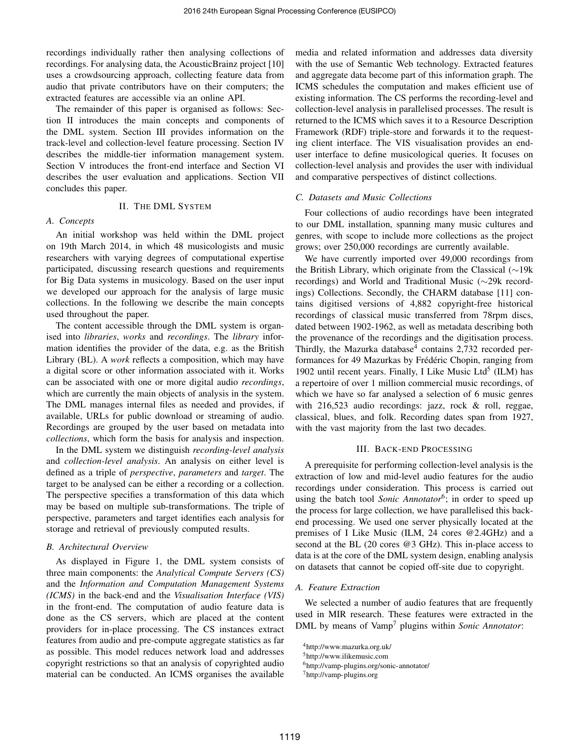recordings individually rather then analysing collections of recordings. For analysing data, the AcousticBrainz project [10] uses a crowdsourcing approach, collecting feature data from audio that private contributors have on their computers; the extracted features are accessible via an online API.

The remainder of this paper is organised as follows: Section II introduces the main concepts and components of the DML system. Section III provides information on the track-level and collection-level feature processing. Section IV describes the middle-tier information management system. Section V introduces the front-end interface and Section VI describes the user evaluation and applications. Section VII concludes this paper.

#### II. THE DML SYSTEM

# *A. Concepts*

An initial workshop was held within the DML project on 19th March 2014, in which 48 musicologists and music researchers with varying degrees of computational expertise participated, discussing research questions and requirements for Big Data systems in musicology. Based on the user input we developed our approach for the analysis of large music collections. In the following we describe the main concepts used throughout the paper.

The content accessible through the DML system is organised into *libraries*, *works* and *recordings*. The *library* information identifies the provider of the data, e.g. as the British Library (BL). A *work* reflects a composition, which may have a digital score or other information associated with it. Works can be associated with one or more digital audio *recordings*, which are currently the main objects of analysis in the system. The DML manages internal files as needed and provides, if available, URLs for public download or streaming of audio. Recordings are grouped by the user based on metadata into *collections*, which form the basis for analysis and inspection.

In the DML system we distinguish *recording-level analysis* and *collection-level analysis*. An analysis on either level is defined as a triple of *perspective*, *parameters* and *target*. The target to be analysed can be either a recording or a collection. The perspective specifies a transformation of this data which may be based on multiple sub-transformations. The triple of perspective, parameters and target identifies each analysis for storage and retrieval of previously computed results.

# *B. Architectural Overview*

As displayed in Figure 1, the DML system consists of three main components: the *Analytical Compute Servers (CS)* and the *Information and Computation Management Systems (ICMS)* in the back-end and the *Visualisation Interface (VIS)* in the front-end. The computation of audio feature data is done as the CS servers, which are placed at the content providers for in-place processing. The CS instances extract features from audio and pre-compute aggregate statistics as far as possible. This model reduces network load and addresses copyright restrictions so that an analysis of copyrighted audio material can be conducted. An ICMS organises the available

media and related information and addresses data diversity with the use of Semantic Web technology. Extracted features and aggregate data become part of this information graph. The ICMS schedules the computation and makes efficient use of existing information. The CS performs the recording-level and collection-level analysis in parallelised processes. The result is returned to the ICMS which saves it to a Resource Description Framework (RDF) triple-store and forwards it to the requesting client interface. The VIS visualisation provides an enduser interface to define musicological queries. It focuses on collection-level analysis and provides the user with individual and comparative perspectives of distinct collections.

# *C. Datasets and Music Collections*

Four collections of audio recordings have been integrated to our DML installation, spanning many music cultures and genres, with scope to include more collections as the project grows; over 250,000 recordings are currently available.

We have currently imported over 49,000 recordings from the British Library, which originate from the Classical (∼19k recordings) and World and Traditional Music (∼29k recordings) Collections. Secondly, the CHARM database [11] contains digitised versions of 4,882 copyright-free historical recordings of classical music transferred from 78rpm discs, dated between 1902-1962, as well as metadata describing both the provenance of the recordings and the digitisation process. Thirdly, the Mazurka database<sup>4</sup> contains 2,732 recorded performances for 49 Mazurkas by Frédéric Chopin, ranging from 1902 until recent years. Finally, I Like Music Ltd<sup>5</sup> (ILM) has a repertoire of over 1 million commercial music recordings, of which we have so far analysed a selection of 6 music genres with 216,523 audio recordings: jazz, rock & roll, reggae, classical, blues, and folk. Recording dates span from 1927, with the vast majority from the last two decades.

## III. BACK-END PROCESSING

A prerequisite for performing collection-level analysis is the extraction of low and mid-level audio features for the audio recordings under consideration. This process is carried out using the batch tool *Sonic Annotator*<sup>6</sup>; in order to speed up the process for large collection, we have parallelised this backend processing. We used one server physically located at the premises of I Like Music (ILM, 24 cores @2.4GHz) and a second at the BL (20 cores @3 GHz). This in-place access to data is at the core of the DML system design, enabling analysis on datasets that cannot be copied off-site due to copyright.

# *A. Feature Extraction*

We selected a number of audio features that are frequently used in MIR research. These features were extracted in the DML by means of Vamp<sup>7</sup> plugins within *Sonic Annotator*:

<sup>4</sup>http://www.mazurka.org.uk/

<sup>5</sup>http://www.ilikemusic.com

<sup>6</sup>http://vamp-plugins.org/sonic-annotator/

<sup>7</sup>http://vamp-plugins.org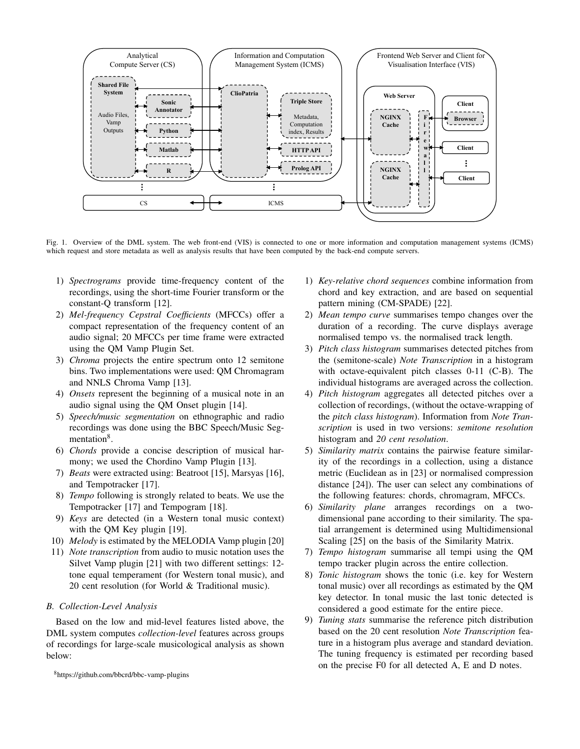

Fig. 1. Overview of the DML system. The web front-end (VIS) is connected to one or more information and computation management systems (ICMS) which request and store metadata as well as analysis results that have been computed by the back-end compute servers.

- 1) *Spectrograms* provide time-frequency content of the recordings, using the short-time Fourier transform or the constant-Q transform [12].
- 2) *Mel-frequency Cepstral Coefficients* (MFCCs) offer a compact representation of the frequency content of an audio signal; 20 MFCCs per time frame were extracted using the QM Vamp Plugin Set.
- 3) *Chroma* projects the entire spectrum onto 12 semitone bins. Two implementations were used: QM Chromagram and NNLS Chroma Vamp [13].
- 4) *Onsets* represent the beginning of a musical note in an audio signal using the QM Onset plugin [14].
- 5) *Speech/music segmentation* on ethnographic and radio recordings was done using the BBC Speech/Music Segmentation<sup>8</sup>.
- 6) *Chords* provide a concise description of musical harmony; we used the Chordino Vamp Plugin [13].
- 7) *Beats* were extracted using: Beatroot [15], Marsyas [16], and Tempotracker [17].
- 8) *Tempo* following is strongly related to beats. We use the Tempotracker [17] and Tempogram [18].
- 9) *Keys* are detected (in a Western tonal music context) with the QM Key plugin [19].
- 10) *Melody* is estimated by the MELODIA Vamp plugin [20]
- 11) *Note transcription* from audio to music notation uses the Silvet Vamp plugin [21] with two different settings: 12 tone equal temperament (for Western tonal music), and 20 cent resolution (for World & Traditional music).

## *B. Collection-Level Analysis*

Based on the low and mid-level features listed above, the DML system computes *collection-level* features across groups of recordings for large-scale musicological analysis as shown below:

<sup>8</sup>https://github.com/bbcrd/bbc-vamp-plugins

- 1) *Key-relative chord sequences* combine information from chord and key extraction, and are based on sequential pattern mining (CM-SPADE) [22].
- 2) *Mean tempo curve* summarises tempo changes over the duration of a recording. The curve displays average normalised tempo vs. the normalised track length.
- 3) *Pitch class histogram* summarises detected pitches from the (semitone-scale) *Note Transcription* in a histogram with octave-equivalent pitch classes 0-11 (C-B). The individual histograms are averaged across the collection.
- 4) *Pitch histogram* aggregates all detected pitches over a collection of recordings, (without the octave-wrapping of the *pitch class histogram*). Information from *Note Transcription* is used in two versions: *semitone resolution* histogram and *20 cent resolution*.
- 5) *Similarity matrix* contains the pairwise feature similarity of the recordings in a collection, using a distance metric (Euclidean as in [23] or normalised compression distance [24]). The user can select any combinations of the following features: chords, chromagram, MFCCs.
- 6) *Similarity plane* arranges recordings on a twodimensional pane according to their similarity. The spatial arrangement is determined using Multidimensional Scaling [25] on the basis of the Similarity Matrix.
- 7) *Tempo histogram* summarise all tempi using the QM tempo tracker plugin across the entire collection.
- 8) *Tonic histogram* shows the tonic (i.e. key for Western tonal music) over all recordings as estimated by the QM key detector. In tonal music the last tonic detected is considered a good estimate for the entire piece.
- 9) *Tuning stats* summarise the reference pitch distribution based on the 20 cent resolution *Note Transcription* feature in a histogram plus average and standard deviation. The tuning frequency is estimated per recording based on the precise F0 for all detected A, E and D notes.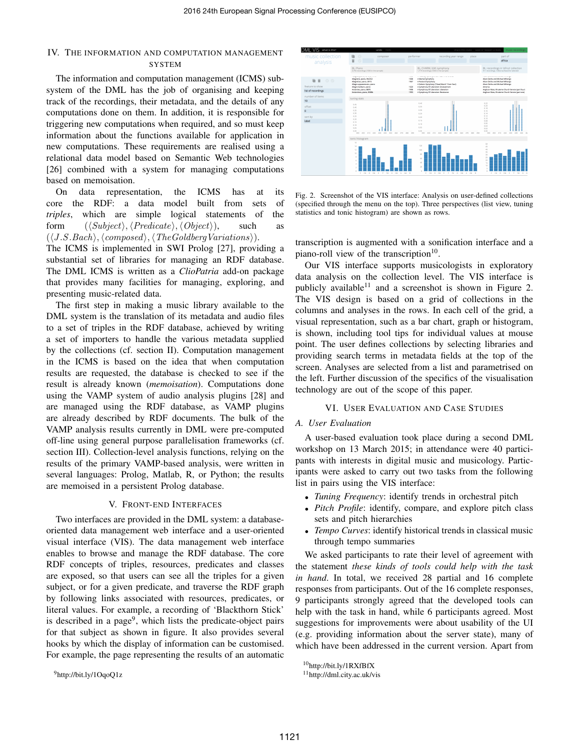# IV. THE INFORMATION AND COMPUTATION MANAGEMENT **SYSTEM**

The information and computation management (ICMS) subsystem of the DML has the job of organising and keeping track of the recordings, their metadata, and the details of any computations done on them. In addition, it is responsible for triggering new computations when required, and so must keep information about the functions available for application in new computations. These requirements are realised using a relational data model based on Semantic Web technologies [26] combined with a system for managing computations based on memoisation.

On data representation, the ICMS has at its core the RDF: a data model built from sets of *triples*, which are simple logical statements of the form  $(\langle Subject\rangle, \langle Predicte\rangle, \langle Object\rangle),$  such as  $(\langle J.S. Bach \rangle, \langle composed \rangle, \langle TheGoldbergVariations \rangle).$ 

The ICMS is implemented in SWI Prolog [27], providing a substantial set of libraries for managing an RDF database. The DML ICMS is written as a *ClioPatria* add-on package that provides many facilities for managing, exploring, and presenting music-related data.

The first step in making a music library available to the DML system is the translation of its metadata and audio files to a set of triples in the RDF database, achieved by writing a set of importers to handle the various metadata supplied by the collections (cf. section II). Computation management in the ICMS is based on the idea that when computation results are requested, the database is checked to see if the result is already known (*memoisation*). Computations done using the VAMP system of audio analysis plugins [28] and are managed using the RDF database, as VAMP plugins are already described by RDF documents. The bulk of the VAMP analysis results currently in DML were pre-computed off-line using general purpose parallelisation frameworks (cf. section III). Collection-level analysis functions, relying on the results of the primary VAMP-based analysis, were written in several languages: Prolog, Matlab, R, or Python; the results are memoised in a persistent Prolog database.

## V. FRONT-END INTERFACES

Two interfaces are provided in the DML system: a databaseoriented data management web interface and a user-oriented visual interface (VIS). The data management web interface enables to browse and manage the RDF database. The core RDF concepts of triples, resources, predicates and classes are exposed, so that users can see all the triples for a given subject, or for a given predicate, and traverse the RDF graph by following links associated with resources, predicates, or literal values. For example, a recording of 'Blackthorn Stick' is described in a page<sup>9</sup>, which lists the predicate-object pairs for that subject as shown in figure. It also provides several hooks by which the display of information can be customised. For example, the page representing the results of an automatic

<sup>9</sup>http://bit.ly/1OqoQ1z



Fig. 2. Screenshot of the VIS interface: Analysis on user-defined collections (specified through the menu on the top). Three perspectives (list view, tuning statistics and tonic histogram) are shown as rows.

transcription is augmented with a sonification interface and a piano-roll view of the transcription<sup>10</sup>.

Our VIS interface supports musicologists in exploratory data analysis on the collection level. The VIS interface is publicly available<sup>11</sup> and a screenshot is shown in Figure 2. The VIS design is based on a grid of collections in the columns and analyses in the rows. In each cell of the grid, a visual representation, such as a bar chart, graph or histogram, is shown, including tool tips for individual values at mouse point. The user defines collections by selecting libraries and providing search terms in metadata fields at the top of the screen. Analyses are selected from a list and parametrised on the left. Further discussion of the specifics of the visualisation technology are out of the scope of this paper.

## VI. USER EVALUATION AND CASE STUDIES

## *A. User Evaluation*

A user-based evaluation took place during a second DML workshop on 13 March 2015; in attendance were 40 participants with interests in digital music and musicology. Participants were asked to carry out two tasks from the following list in pairs using the VIS interface:

- *Tuning Frequency*: identify trends in orchestral pitch
- *Pitch Profile*: identify, compare, and explore pitch class sets and pitch hierarchies
- *Tempo Curves*: identify historical trends in classical music through tempo summaries

We asked participants to rate their level of agreement with the statement *these kinds of tools could help with the task in hand*. In total, we received 28 partial and 16 complete responses from participants. Out of the 16 complete responses, 9 participants strongly agreed that the developed tools can help with the task in hand, while 6 participants agreed. Most suggestions for improvements were about usability of the UI (e.g. providing information about the server state), many of which have been addressed in the current version. Apart from

<sup>10</sup>http://bit.ly/1RXfBfX

<sup>11</sup>http://dml.city.ac.uk/vis